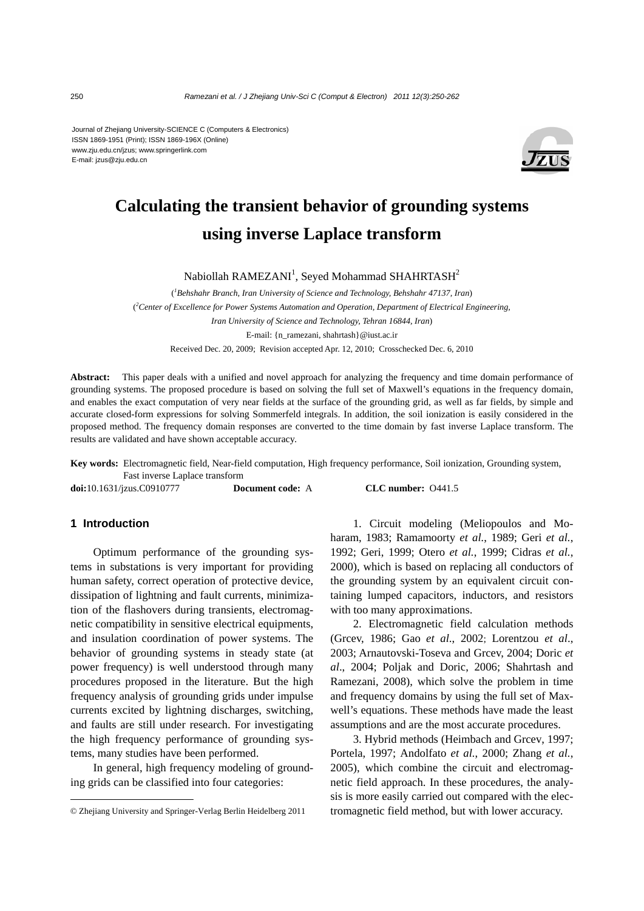Journal of Zhejiang University-SCIENCE C (Computers & Electronics) ISSN 1869-1951 (Print); ISSN 1869-196X (Online) www.zju.edu.cn/jzus; www.springerlink.com E-mail: jzus@zju.edu.cn



# **Calculating the transient behavior of grounding systems using inverse Laplace transform**

Nabiollah RAMEZANI<sup>1</sup>, Seyed Mohammad SHAHRTASH<sup>2</sup>

( *1 Behshahr Branch, Iran University of Science and Technology, Behshahr 47137, Iran*) ( *2 Center of Excellence for Power Systems Automation and Operation, Department of Electrical Engineering, Iran University of Science and Technology, Tehran 16844, Iran*) E-mail: {n\_ramezani, shahrtash}@iust.ac.ir Received Dec. 20, 2009; Revision accepted Apr. 12, 2010; Crosschecked Dec. 6, 2010

**Abstract:** This paper deals with a unified and novel approach for analyzing the frequency and time domain performance of grounding systems. The proposed procedure is based on solving the full set of Maxwell's equations in the frequency domain, and enables the exact computation of very near fields at the surface of the grounding grid, as well as far fields, by simple and accurate closed-form expressions for solving Sommerfeld integrals. In addition, the soil ionization is easily considered in the proposed method. The frequency domain responses are converted to the time domain by fast inverse Laplace transform. The results are validated and have shown acceptable accuracy.

**Key words:** Electromagnetic field, Near-field computation, High frequency performance, Soil ionization, Grounding system, Fast inverse Laplace transform

**doi:**10.1631/jzus.C0910777 **Document code:** A **CLC number:** O441.5

# **1 Introduction**

Optimum performance of the grounding systems in substations is very important for providing human safety, correct operation of protective device, dissipation of lightning and fault currents, minimization of the flashovers during transients, electromagnetic compatibility in sensitive electrical equipments, and insulation coordination of power systems. The behavior of grounding systems in steady state (at power frequency) is well understood through many procedures proposed in the literature. But the high frequency analysis of grounding grids under impulse currents excited by lightning discharges, switching, and faults are still under research. For investigating the high frequency performance of grounding systems, many studies have been performed.

In general, high frequency modeling of grounding grids can be classified into four categories:

1. Circuit modeling (Meliopoulos and Moharam, 1983; Ramamoorty *et al.*, 1989; Geri *et al.*, 1992; Geri, 1999; Otero *et al.*, 1999; Cidras *et al.*, 2000), which is based on replacing all conductors of the grounding system by an equivalent circuit containing lumped capacitors, inductors, and resistors with too many approximations.

2. Electromagnetic field calculation methods (Grcev, 1986; Gao *et al*., 2002; Lorentzou *et al*., 2003; Arnautovski-Toseva and Grcev, 2004; Doric *et al*., 2004; Poljak and Doric, 2006; Shahrtash and Ramezani, 2008), which solve the problem in time and frequency domains by using the full set of Maxwell's equations. These methods have made the least assumptions and are the most accurate procedures.

3. Hybrid methods (Heimbach and Grcev, 1997; Portela, 1997; Andolfato *et al.*, 2000; Zhang *et al.*, 2005), which combine the circuit and electromagnetic field approach. In these procedures, the analysis is more easily carried out compared with the electromagnetic field method, but with lower accuracy.

<sup>©</sup> Zhejiang University and Springer-Verlag Berlin Heidelberg 2011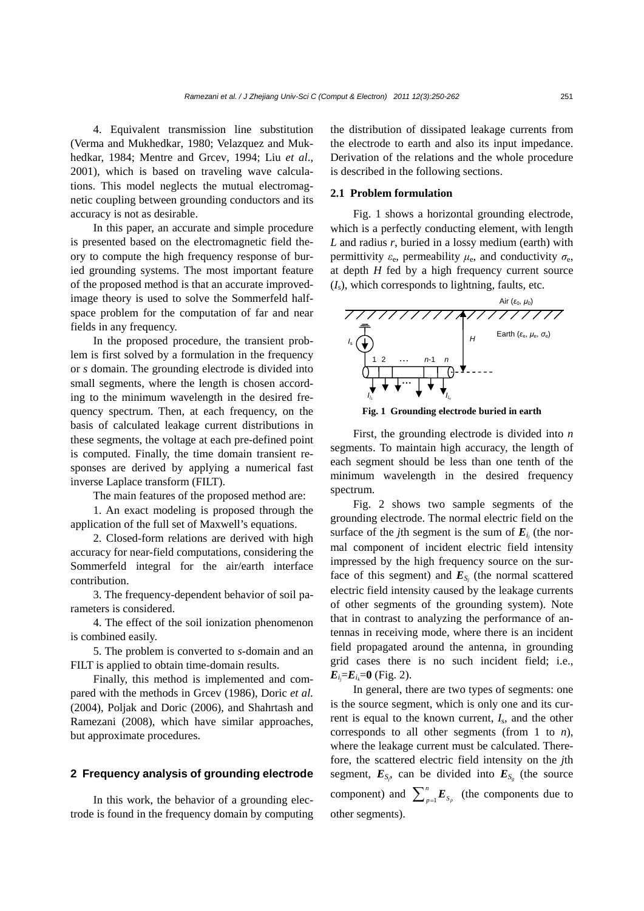4. Equivalent transmission line substitution (Verma and Mukhedkar, 1980; Velazquez and Mukhedkar, 1984; Mentre and Grcev, 1994; Liu *et al*., 2001), which is based on traveling wave calculations. This model neglects the mutual electromagnetic coupling between grounding conductors and its accuracy is not as desirable.

In this paper, an accurate and simple procedure is presented based on the electromagnetic field theory to compute the high frequency response of buried grounding systems. The most important feature of the proposed method is that an accurate improvedimage theory is used to solve the Sommerfeld halfspace problem for the computation of far and near fields in any frequency.

In the proposed procedure, the transient problem is first solved by a formulation in the frequency or *s* domain. The grounding electrode is divided into small segments, where the length is chosen according to the minimum wavelength in the desired frequency spectrum. Then, at each frequency, on the basis of calculated leakage current distributions in these segments, the voltage at each pre-defined point is computed. Finally, the time domain transient responses are derived by applying a numerical fast inverse Laplace transform (FILT).

The main features of the proposed method are:

1. An exact modeling is proposed through the application of the full set of Maxwell's equations.

2. Closed-form relations are derived with high accuracy for near-field computations, considering the Sommerfeld integral for the air/earth interface contribution.

3. The frequency-dependent behavior of soil parameters is considered.

4. The effect of the soil ionization phenomenon is combined easily.

5. The problem is converted to *s*-domain and an FILT is applied to obtain time-domain results.

Finally, this method is implemented and compared with the methods in Grcev (1986), Doric *et al.* (2004), Poljak and Doric (2006), and Shahrtash and Ramezani (2008), which have similar approaches, but approximate procedures.

# **2 Frequency analysis of grounding electrode**

In this work, the behavior of a grounding electrode is found in the frequency domain by computing the distribution of dissipated leakage currents from the electrode to earth and also its input impedance. Derivation of the relations and the whole procedure is described in the following sections.

#### **2.1 Problem formulation**

Fig. 1 shows a horizontal grounding electrode, which is a perfectly conducting element, with length *L* and radius *r*, buried in a lossy medium (earth) with permittivity  $\varepsilon_e$ , permeability  $\mu_e$ , and conductivity  $\sigma_e$ , at depth *H* fed by a high frequency current source  $(I<sub>s</sub>)$ , which corresponds to lightning, faults, etc.





First, the grounding electrode is divided into *n* segments. To maintain high accuracy, the length of each segment should be less than one tenth of the minimum wavelength in the desired frequency spectrum.

Fig. 2 shows two sample segments of the grounding electrode. The normal electric field on the surface of the *j*th segment is the sum of  $E_{i_j}$  (the normal component of incident electric field intensity impressed by the high frequency source on the surface of this segment) and  $\mathbf{E}_{S_j}$  (the normal scattered electric field intensity caused by the leakage currents of other segments of the grounding system). Note that in contrast to analyzing the performance of antennas in receiving mode, where there is an incident field propagated around the antenna, in grounding grid cases there is no such incident field; i.e.,  $E_i = E_i = 0$  (Fig. 2).

In general, there are two types of segments: one is the source segment, which is only one and its current is equal to the known current, *I*s, and the other corresponds to all other segments (from 1 to *n*), where the leakage current must be calculated. Therefore, the scattered electric field intensity on the *j*th segment,  $E_{S_i}$ , can be divided into  $E_{S_g}$  (the source component) and  $\sum_{p=1}^{n}$   $E_{s_p}$  (the components due to other segments).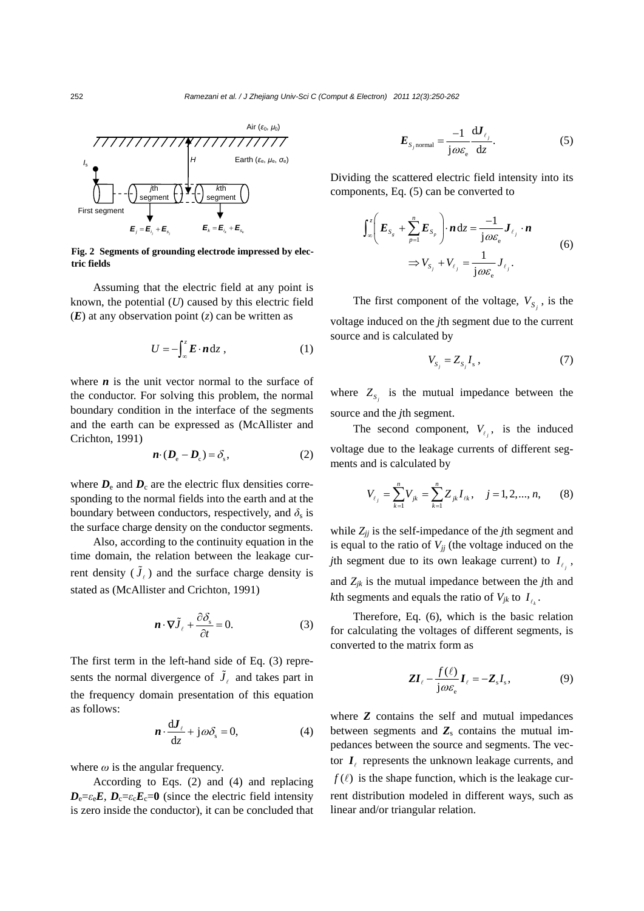

**Fig. 2 Segments of grounding electrode impressed by electric fields**

Assuming that the electric field at any point is known, the potential (*U*) caused by this electric field (*E*) at any observation point (*z*) can be written as

$$
U = -\int_{-\infty}^{z} \boldsymbol{E} \cdot \boldsymbol{n} \, \mathrm{d}z \;, \tag{1}
$$

where  $\boldsymbol{n}$  is the unit vector normal to the surface of the conductor. For solving this problem, the normal boundary condition in the interface of the segments and the earth can be expressed as (McAllister and Crichton, 1991)

$$
\boldsymbol{n} \cdot (\boldsymbol{D}_{\rm e} - \boldsymbol{D}_{\rm c}) = \delta_{\rm s},\tag{2}
$$

where  $D_e$  and  $D_c$  are the electric flux densities corresponding to the normal fields into the earth and at the boundary between conductors, respectively, and  $\delta_s$  is the surface charge density on the conductor segments.

Also, according to the continuity equation in the time domain, the relation between the leakage current density  $(\tilde{J}_{\ell})$  and the surface charge density is stated as (McAllister and Crichton, 1991)

$$
\mathbf{n} \cdot \nabla \tilde{J}_{\ell} + \frac{\partial \delta_{\rm s}}{\partial t} = 0. \tag{3}
$$

The first term in the left-hand side of Eq. (3) represents the normal divergence of  $\tilde{J}_\ell$  and takes part in the frequency domain presentation of this equation as follows:

$$
\mathbf{n} \cdot \frac{\mathrm{d} \mathbf{J}_{\ell}}{\mathrm{d} z} + \mathbf{j} \omega \delta_{\mathrm{s}} = 0, \tag{4}
$$

where  $\omega$  is the angular frequency.

According to Eqs. (2) and (4) and replacing  $D_e = \varepsilon_e E$ ,  $D_c = \varepsilon_c E_c = 0$  (since the electric field intensity is zero inside the conductor), it can be concluded that

$$
E_{s_{j} \text{normal}} = \frac{-1}{j \omega \varepsilon_{e}} \frac{dJ_{\ell_{j}}}{dz}.
$$
 (5)

Dividing the scattered electric field intensity into its components, Eq. (5) can be converted to

$$
\int_{\infty}^{z} \left( \boldsymbol{E}_{S_{g}} + \sum_{p=1}^{n} \boldsymbol{E}_{S_{p}} \right) \cdot \boldsymbol{n} \, \mathrm{d}z = \frac{-1}{\mathrm{j} \omega \varepsilon_{\mathrm{e}}} \boldsymbol{J}_{\ell_{j}} \cdot \boldsymbol{n} \n\Rightarrow V_{S_{j}} + V_{\ell_{j}} = \frac{1}{\mathrm{j} \omega \varepsilon_{\mathrm{e}}} \boldsymbol{J}_{\ell_{j}}.
$$
\n(6)

The first component of the voltage,  $V_{S_i}$ , is the voltage induced on the *j*th segment due to the current source and is calculated by

$$
V_{S_i} = Z_{S_i} I_s \,, \tag{7}
$$

where  $Z_{S_i}$  is the mutual impedance between the source and the *j*th segment.

The second component,  $V_{\ell_j}$ , is the induced voltage due to the leakage currents of different segments and is calculated by

$$
V_{\ell_j} = \sum_{k=1}^{n} V_{jk} = \sum_{k=1}^{n} Z_{jk} I_{\ell k}, \quad j = 1, 2, ..., n, \qquad (8)
$$

while  $Z_{ij}$  is the self-impedance of the *j*th segment and is equal to the ratio of  $V_{jj}$  (the voltage induced on the *j*th segment due to its own leakage current) to  $I_{\ell_i}$ , and *Zjk* is the mutual impedance between the *j*th and *k*th segments and equals the ratio of  $V_{ik}$  to  $I_{\ell}$ .

Therefore, Eq. (6), which is the basic relation for calculating the voltages of different segments, is converted to the matrix form as

$$
\mathbf{Z}\mathbf{I}_{\ell} - \frac{f(\ell)}{\mathbf{j}\omega\varepsilon_{\mathbf{e}}} \mathbf{I}_{\ell} = -\mathbf{Z}_{s} I_{s},
$$
 (9)

where **Z** contains the self and mutual impedances between segments and  $Z_s$  contains the mutual impedances between the source and segments. The vector  $I_{\ell}$  represents the unknown leakage currents, and  $f(\ell)$  is the shape function, which is the leakage current distribution modeled in different ways, such as linear and/or triangular relation.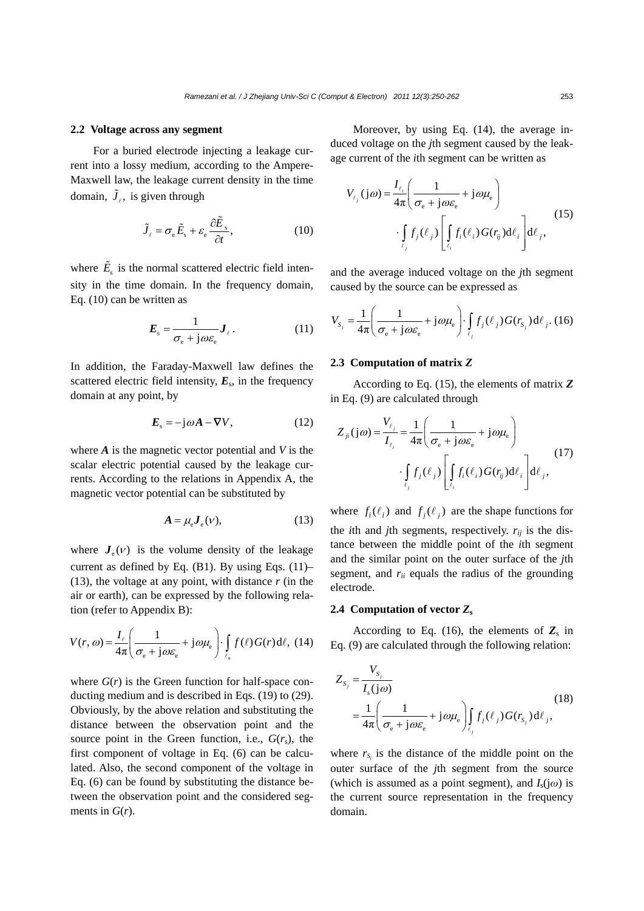#### **2.2 Voltage across any segment**

For a buried electrode injecting a leakage current into a lossy medium, according to the Ampere-Maxwell law, the leakage current density in the time domain,  $\tilde{J}_l$ , is given through

$$
\tilde{J}_{\ell} = \sigma_{\rm e} \tilde{E}_{\rm s} + \varepsilon_{\rm e} \frac{\partial \tilde{E}_{\rm s}}{\partial t},\tag{10}
$$

where  $\tilde{E}_s$  is the normal scattered electric field intensity in the time domain. In the frequency domain, Eq. (10) can be written as

$$
E_{\rm s} = \frac{1}{\sigma_{\rm e} + j\omega \varepsilon_{\rm e}} \mathbf{J}_{\ell} \,. \tag{11}
$$

In addition, the Faraday-Maxwell law defines the scattered electric field intensity,  $E_s$ , in the frequency domain at any point, by

$$
E_{\rm s} = -\mathrm{j}\omega A - \nabla V,\tag{12}
$$

where *A* is the magnetic vector potential and *V* is the scalar electric potential caused by the leakage currents. According to the relations in Appendix A, the magnetic vector potential can be substituted by

$$
A = \mu_{\rm e} \mathbf{J}_{\rm e}(\mathbf{v}),\tag{13}
$$

where  $J_e(V)$  is the volume density of the leakage current as defined by Eq.  $(B1)$ . By using Eqs.  $(11)$ – (13), the voltage at any point, with distance *r* (in the air or earth), can be expressed by the following relation (refer to Appendix B):

$$
V(r,\omega) = \frac{I_{\ell}}{4\pi} \left( \frac{1}{\sigma_{\rm e} + j\omega \varepsilon_{\rm e}} + j\omega \mu_{\rm e} \right) \cdot \int_{\ell_{\rm n}} f(\ell) G(r) \, \mathrm{d}\ell, \tag{14}
$$

where  $G(r)$  is the Green function for half-space conducting medium and is described in Eqs. (19) to (29). Obviously, by the above relation and substituting the distance between the observation point and the source point in the Green function, i.e.,  $G(r<sub>s</sub>)$ , the first component of voltage in Eq. (6) can be calculated. Also, the second component of the voltage in Eq. (6) can be found by substituting the distance between the observation point and the considered segments in  $G(r)$ .

Moreover, by using Eq. (14), the average induced voltage on the *j*th segment caused by the leakage current of the *i*th segment can be written as

$$
V_{\ell_j}(\mathbf{j}\omega) = \frac{I_{\ell_i}}{4\pi} \left( \frac{1}{\sigma_{\mathbf{e}} + \mathbf{j}\omega \varepsilon_{\mathbf{e}}} + \mathbf{j}\omega \mu_{\mathbf{e}} \right)
$$

$$
\cdot \int_{\ell_j} f_j(\ell_j) \left[ \int_{\ell_i} f_i(\ell_i) G(r_{ij}) \mathrm{d}\ell_i \right] \mathrm{d}\ell_j,
$$
(15)

and the average induced voltage on the *j*th segment caused by the source can be expressed as

$$
V_{S_j} = \frac{1}{4\pi} \left( \frac{1}{\sigma_e + j\omega \varepsilon_e} + j\omega \mu_e \right) \cdot \int_{\ell_j} f_j(\ell_j) G(r_{S_j}) d\ell_j
$$
 (16)

#### **2.3 Computation of matrix** *Z*

According to Eq. (15), the elements of matrix *Z* in Eq. (9) are calculated through

$$
Z_{ji}(j\omega) = \frac{V_{\ell_j}}{I_{\ell_i}} = \frac{1}{4\pi} \left( \frac{1}{\sigma_e + j\omega \varepsilon_e} + j\omega \mu_e \right)
$$

$$
\cdot \int_{\ell_j} f_j(\ell_j) \left[ \int_{\ell_i} f_i(\ell_i) G(r_{ij}) d\ell_i \right] d\ell_j,
$$
 (17)

where  $f_i(\ell_i)$  and  $f_j(\ell_j)$  are the shape functions for the *i*th and *j*th segments, respectively.  $r_{ij}$  is the distance between the middle point of the *i*th segment and the similar point on the outer surface of the *j*th segment, and  $r_{ii}$  equals the radius of the grounding electrode.

#### **2.4 Computation of vector** *Z***<sup>s</sup>**

According to Eq. (16), the elements of  $Z_s$  in Eq. (9) are calculated through the following relation:

$$
Z_{S_j} = \frac{V_{S_j}}{I_s(j\omega)}
$$
  
= 
$$
\frac{1}{4\pi} \left( \frac{1}{\sigma_e + j\omega \varepsilon_e} + j\omega \mu_e \right) \int_{\ell_j} f_j(\ell_j) G(r_{S_j}) d\ell_j,
$$
 (18)

where  $r_{S_j}$  is the distance of the middle point on the outer surface of the *j*th segment from the source (which is assumed as a point segment), and  $I_s(i\omega)$  is the current source representation in the frequency domain.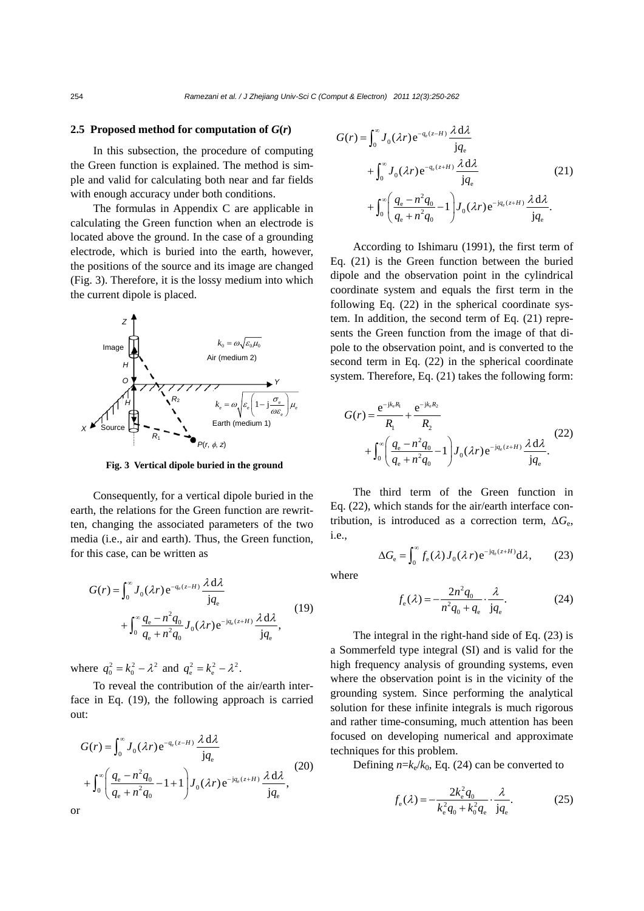#### **2.5 Proposed method for computation of**  $G(r)$

In this subsection, the procedure of computing the Green function is explained. The method is simple and valid for calculating both near and far fields with enough accuracy under both conditions.

The formulas in Appendix C are applicable in calculating the Green function when an electrode is located above the ground. In the case of a grounding electrode, which is buried into the earth, however, the positions of the source and its image are changed (Fig. 3). Therefore, it is the lossy medium into which the current dipole is placed.



**Fig. 3 Vertical dipole buried in the ground**

Consequently, for a vertical dipole buried in the earth, the relations for the Green function are rewritten, changing the associated parameters of the two media (i.e., air and earth). Thus, the Green function, for this case, can be written as

$$
G(r) = \int_0^\infty J_0(\lambda r) e^{-q_e(z-H)} \frac{\lambda d\lambda}{jq_e} + \int_0^\infty \frac{q_e - n^2 q_0}{q_e + n^2 q_0} J_0(\lambda r) e^{-jq_e(z+H)} \frac{\lambda d\lambda}{jq_e},
$$
(19)

where  $q_0^2 = k_0^2 - \lambda^2$  and  $q_e^2 = k_e^2 - \lambda^2$ .

To reveal the contribution of the air/earth interface in Eq. (19), the following approach is carried out:

$$
G(r) = \int_0^{\infty} J_0(\lambda r) e^{-q_e(z-H)} \frac{\lambda d\lambda}{jq_e}
$$
  
+ 
$$
\int_0^{\infty} \left( \frac{q_e - n^2 q_0}{q_e + n^2 q_0} - 1 + 1 \right) J_0(\lambda r) e^{-jq_e(z+H)} \frac{\lambda d\lambda}{jq_e},
$$
 (20)  
or

$$
G(r) = \int_0^{\infty} J_0(\lambda r) e^{-q_e(z-H)} \frac{\lambda d\lambda}{jq_e}
$$
  
+ 
$$
\int_0^{\infty} J_0(\lambda r) e^{-q_e(z+H)} \frac{\lambda d\lambda}{jq_e}
$$
  
+ 
$$
\int_0^{\infty} \left( \frac{q_e - n^2 q_0}{q_e + n^2 q_0} - 1 \right) J_0(\lambda r) e^{-jq_e(z+H)} \frac{\lambda d\lambda}{jq_e}.
$$
 (21)

According to Ishimaru (1991), the first term of Eq. (21) is the Green function between the buried dipole and the observation point in the cylindrical coordinate system and equals the first term in the following Eq. (22) in the spherical coordinate system. In addition, the second term of Eq. (21) represents the Green function from the image of that dipole to the observation point, and is converted to the second term in Eq. (22) in the spherical coordinate system. Therefore, Eq. (21) takes the following form:

$$
G(r) = \frac{e^{-jk_e R_1}}{R_1} + \frac{e^{-jk_e R_2}}{R_2} + \int_0^\infty \left(\frac{q_e - n^2 q_0}{q_e + n^2 q_0} - 1\right) J_0(\lambda r) e^{-j q_e (z + H)} \frac{\lambda d\lambda}{j q_e}.
$$
 (22)

The third term of the Green function in Eq. (22), which stands for the air/earth interface contribution, is introduced as a correction term,  $\Delta G_e$ , i.e.,

$$
\Delta G_{\rm e} = \int_0^\infty f_{\rm e}(\lambda) J_0(\lambda r) e^{-{\rm j}q_{\rm e}(z+H)} d\lambda, \qquad (23)
$$

where  

$$
f_{\rm e}(\lambda) = -\frac{2n^2 q_{\rm o}}{n^2 q_{\rm o} + q_{\rm e}} \cdot \frac{\lambda}{\rm j q_{\rm e}}.\tag{24}
$$

The integral in the right-hand side of Eq. (23) is a Sommerfeld type integral (SI) and is valid for the high frequency analysis of grounding systems, even where the observation point is in the vicinity of the grounding system. Since performing the analytical solution for these infinite integrals is much rigorous and rather time-consuming, much attention has been focused on developing numerical and approximate techniques for this problem.

Defining  $n=k_e/k_0$ , Eq. (24) can be converted to

$$
f_{e}(\lambda) = -\frac{2k_{e}^{2}q_{0}}{k_{e}^{2}q_{0} + k_{0}^{2}q_{e}} \cdot \frac{\lambda}{jq_{e}}.
$$
 (25)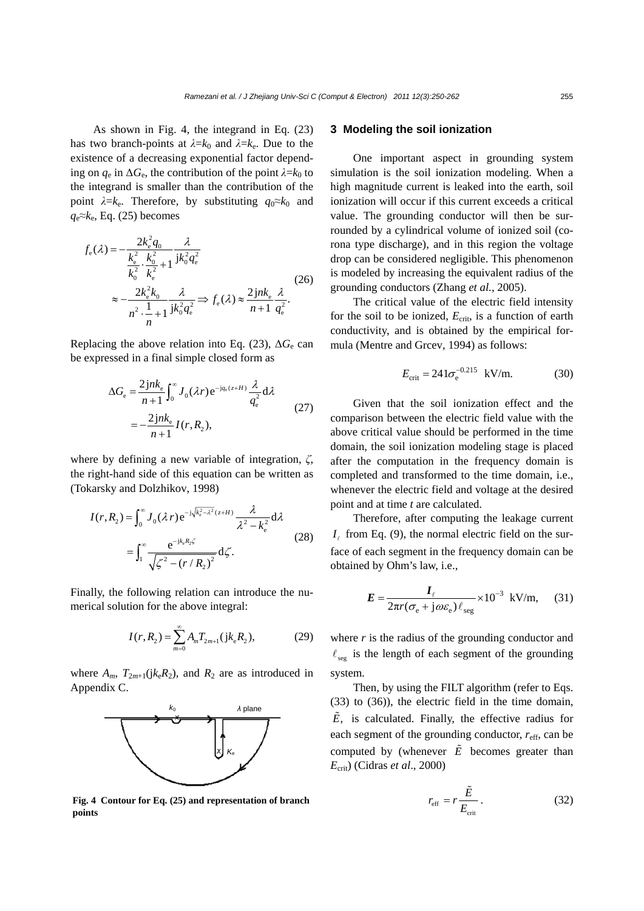As shown in Fig. 4, the integrand in Eq. (23) has two branch-points at  $\lambda = k_0$  and  $\lambda = k_e$ . Due to the existence of a decreasing exponential factor depending on  $q_e$  in  $\Delta G_e$ , the contribution of the point  $\lambda = k_0$  to the integrand is smaller than the contribution of the point  $\lambda = k_e$ . Therefore, by substituting  $q_0 \approx k_0$  and  $q_e$ ≈ $k_e$ , Eq. (25) becomes

$$
f_{e}(\lambda) = -\frac{2k_{e}^{2}q_{0}}{k_{e}^{2} \cdot k_{e}^{2} + 1} \frac{\lambda}{jk_{0}^{2}q_{e}^{2}}
$$
  

$$
\approx -\frac{2k_{e}^{2}k_{0}}{n^{2} \cdot \frac{1}{n+1}} \frac{\lambda}{jk_{0}^{2}q_{e}^{2}} \Rightarrow f_{e}(\lambda) \approx \frac{2jnk_{e}}{n+1} \frac{\lambda}{q_{e}^{2}}.
$$
 (26)

Replacing the above relation into Eq. (23),  $\Delta G_e$  can be expressed in a final simple closed form as

$$
\Delta G_{\rm e} = \frac{2 \, j n k_{\rm e}}{n+1} \int_0^\infty J_0(\lambda r) \, \mathrm{e}^{-\mathrm{j} q_{\rm e}(z+H)} \frac{\lambda}{q_{\rm e}^2} \mathrm{d}\lambda
$$
\n
$$
= -\frac{2 \, j n k_{\rm e}}{n+1} I(r, R_2), \tag{27}
$$

where by defining a new variable of integration, *ζ*, the right-hand side of this equation can be written as (Tokarsky and Dolzhikov, 1998)

$$
I(r, R_2) = \int_0^{\infty} J_0(\lambda r) e^{-j\sqrt{k_e^2 - \lambda^2}(z+H)} \frac{\lambda}{\lambda^2 - k_e^2} d\lambda
$$
  
= 
$$
\int_1^{\infty} \frac{e^{-jk_e R_2 \zeta}}{\sqrt{\zeta^2 - (r/R_2)^2}} d\zeta.
$$
 (28)

Finally, the following relation can introduce the numerical solution for the above integral:

$$
I(r, R_2) = \sum_{m=0}^{\infty} A_m T_{2m+1} (jk_e R_2),
$$
 (29)

where  $A_m$ ,  $T_{2m+1}(jk_eR_2)$ , and  $R_2$  are as introduced in Appendix C.



**Fig. 4 Contour for Eq. (25) and representation of branch**  $\frac{1}{2}$ **points** 

# **3 Modeling the soil ionization**

One important aspect in grounding system simulation is the soil ionization modeling. When a high magnitude current is leaked into the earth, soil ionization will occur if this current exceeds a critical value. The grounding conductor will then be surrounded by a cylindrical volume of ionized soil (corona type discharge), and in this region the voltage drop can be considered negligible. This phenomenon is modeled by increasing the equivalent radius of the grounding conductors (Zhang *et al.*, 2005).

The critical value of the electric field intensity for the soil to be ionized,  $E_{\text{crit}}$ , is a function of earth conductivity, and is obtained by the empirical formula (Mentre and Grcev, 1994) as follows:

$$
E_{\text{crit}} = 241 \sigma_{\text{e}}^{-0.215}
$$
 kV/m. (30)

Given that the soil ionization effect and the comparison between the electric field value with the above critical value should be performed in the time domain, the soil ionization modeling stage is placed after the computation in the frequency domain is completed and transformed to the time domain, i.e., whenever the electric field and voltage at the desired point and at time *t* are calculated.

Therefore, after computing the leakage current  $I_{\ell}$  from Eq. (9), the normal electric field on the surface of each segment in the frequency domain can be obtained by Ohm's law, i.e.,

$$
E = \frac{I_{\ell}}{2\pi r (\sigma_{\rm e} + j\omega \varepsilon_{\rm e}) \ell_{\rm seg}} \times 10^{-3} \text{ kV/m}, \quad (31)
$$

where *r* is the radius of the grounding conductor and  $\ell_{\text{seg}}$  is the length of each segment of the grounding system.

Then, by using the FILT algorithm (refer to Eqs. (33) to (36)), the electric field in the time domain,  $\tilde{E}$ , is calculated. Finally, the effective radius for each segment of the grounding conductor,  $r_{\text{eff}}$ , can be computed by (whenever  $\tilde{E}$  becomes greater than *E*crit) (Cidras *et al*., 2000)

$$
r_{\rm eff} = r \frac{\tilde{E}}{E_{\rm crit}}.
$$
 (32)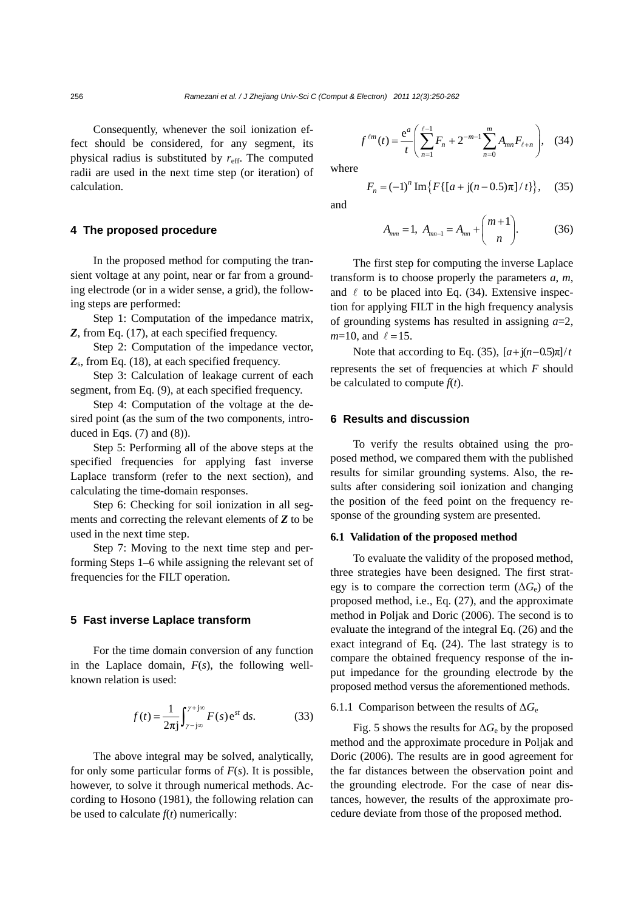Consequently, whenever the soil ionization effect should be considered, for any segment, its physical radius is substituted by  $r_{\text{eff}}$ . The computed radii are used in the next time step (or iteration) of calculation.

# **4 The proposed procedure**

In the proposed method for computing the transient voltage at any point, near or far from a grounding electrode (or in a wider sense, a grid), the following steps are performed:

Step 1: Computation of the impedance matrix, *Z*, from Eq. (17), at each specified frequency.

Step 2: Computation of the impedance vector, *Z*s, from Eq. (18), at each specified frequency.

Step 3: Calculation of leakage current of each segment, from Eq. (9), at each specified frequency.

Step 4: Computation of the voltage at the desired point (as the sum of the two components, introduced in Eqs.  $(7)$  and  $(8)$ ).

Step 5: Performing all of the above steps at the specified frequencies for applying fast inverse Laplace transform (refer to the next section), and calculating the time-domain responses.

Step 6: Checking for soil ionization in all segments and correcting the relevant elements of *Z* to be used in the next time step.

Step 7: Moving to the next time step and performing Steps 1–6 while assigning the relevant set of frequencies for the FILT operation.

# **5 Fast inverse Laplace transform**

For the time domain conversion of any function in the Laplace domain, *F*(*s*), the following wellknown relation is used:

$$
f(t) = \frac{1}{2\pi j} \int_{\gamma - j\infty}^{\gamma + j\infty} F(s) e^{st} ds.
$$
 (33)

The above integral may be solved, analytically, for only some particular forms of *F*(*s*). It is possible, however, to solve it through numerical methods. According to Hosono (1981), the following relation can be used to calculate  $f(t)$  numerically:

$$
f^{\ell m}(t) = \frac{e^a}{t} \left( \sum_{n=1}^{\ell-1} F_n + 2^{-m-1} \sum_{n=0}^m A_{mn} F_{\ell+n} \right), \quad (34)
$$

where

$$
F_n = (-1)^n \operatorname{Im} \{ F\{ [a + j(n - 0.5)\pi]/t \} \}, \quad (35)
$$

and

$$
A_{mn} = 1, \ A_{mn-1} = A_{mn} + \binom{m+1}{n}.
$$
 (36)

The first step for computing the inverse Laplace transform is to choose properly the parameters *a*, *m*, and  $\ell$  to be placed into Eq. (34). Extensive inspection for applying FILT in the high frequency analysis of grounding systems has resulted in assigning *a*=2,  $m=10$ , and  $\ell = 15$ .

Note that according to Eq. (35),  $[a + i(n-0.5)\pi]/t$ represents the set of frequencies at which *F* should be calculated to compute  $f(t)$ .

# **6 Results and discussion**

To verify the results obtained using the proposed method, we compared them with the published results for similar grounding systems. Also, the results after considering soil ionization and changing the position of the feed point on the frequency response of the grounding system are presented.

## **6.1 Validation of the proposed method**

To evaluate the validity of the proposed method, three strategies have been designed. The first strategy is to compare the correction term  $(\Delta G_e)$  of the proposed method, i.e., Eq. (27), and the approximate method in Poljak and Doric (2006). The second is to evaluate the integrand of the integral Eq. (26) and the exact integrand of Eq. (24). The last strategy is to compare the obtained frequency response of the input impedance for the grounding electrode by the proposed method versus the aforementioned methods.

# 6.1.1 Comparison between the results of Δ*G*<sup>e</sup>

Fig. 5 shows the results for  $\Delta G_e$  by the proposed method and the approximate procedure in Poljak and Doric (2006). The results are in good agreement for the far distances between the observation point and the grounding electrode. For the case of near distances, however, the results of the approximate procedure deviate from those of the proposed method.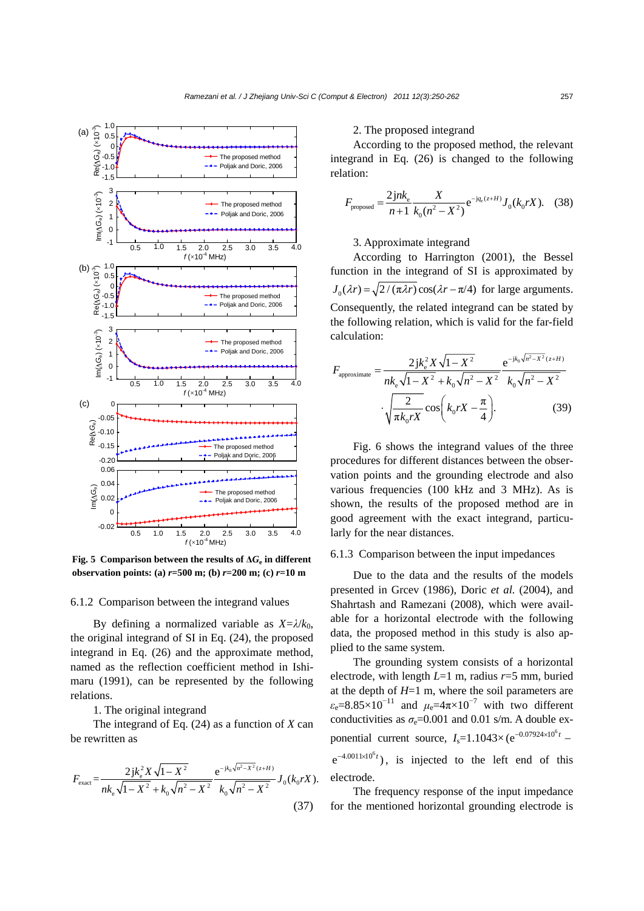

**Fig. 5 Comparison between the results of**  $\Delta G_e$  **in different observation points: (a)** *r***=500 m; (b)** *r***=200 m; (c)** *r***=10 m**

#### 6.1.2 Comparison between the integrand values

By defining a normalized variable as  $X=\lambda/k_0$ , the original integrand of SI in Eq. (24), the proposed integrand in Eq. (26) and the approximate method, named as the reflection coefficient method in Ishimaru (1991), can be represented by the following relations.

1. The original integrand

The integrand of Eq. (24) as a function of *X* can be rewritten as

$$
F_{\text{exact}} = \frac{2jk_e^2 X \sqrt{1 - X^2}}{nk_e \sqrt{1 - X^2} + k_0 \sqrt{n^2 - X^2}} \frac{e^{-jk_0 \sqrt{n^2 - X^2}(z+H)}}{k_0 \sqrt{n^2 - X^2}} J_0(k_0 rX). \tag{37}
$$

#### 2. The proposed integrand

According to the proposed method, the relevant integrand in Eq. (26) is changed to the following relation:

$$
F_{\text{proposed}} = \frac{2jnk_e}{n+1} \frac{X}{k_0(n^2 - X^2)} e^{-jq_e(z+H)} J_0(k_0 rX). \quad (38)
$$

# 3. Approximate integrand

According to Harrington (2001), the Bessel function in the integrand of SI is approximated by  $J_0(\lambda r) = \sqrt{2}/(\pi \lambda r) \cos(\lambda r - \pi/4)$  for large arguments. Consequently, the related integrand can be stated by the following relation, which is valid for the far-field calculation:

$$
F_{\text{approximate}} = \frac{2jk_e^2 X \sqrt{1 - X^2}}{nk_e \sqrt{1 - X^2} + k_0 \sqrt{n^2 - X^2}} \frac{e^{-jk_0 \sqrt{n^2 - X^2}(z+H)}}{k_0 \sqrt{n^2 - X^2}} \cdot \sqrt{\frac{2}{\pi k_0 r X}} \cos\left(k_0 r X - \frac{\pi}{4}\right). \tag{39}
$$

Fig. 6 shows the integrand values of the three procedures for different distances between the observation points and the grounding electrode and also various frequencies (100 kHz and 3 MHz). As is shown, the results of the proposed method are in good agreement with the exact integrand, particularly for the near distances.

## 6.1.3 Comparison between the input impedances

Due to the data and the results of the models presented in Grcev (1986), Doric *et al.* (2004), and Shahrtash and Ramezani (2008), which were available for a horizontal electrode with the following data, the proposed method in this study is also applied to the same system.

The grounding system consists of a horizontal electrode, with length *L*=1 m, radius *r*=5 mm, buried at the depth of *H*=1 m, where the soil parameters are  $\varepsilon_e$ =8.85×10<sup>-11</sup> and  $\mu_e$ =4π×10<sup>-7</sup> with two different conductivities as  $\sigma = 0.001$  and 0.01 s/m. A double exponential current source,  $I_s = 1.1043 \times (e^{-0.07924 \times 10^6 t} -$ 

 $e^{-4.0011 \times 10^{6}t}$ , is injected to the left end of this electrode.

The frequency response of the input impedance for the mentioned horizontal grounding electrode is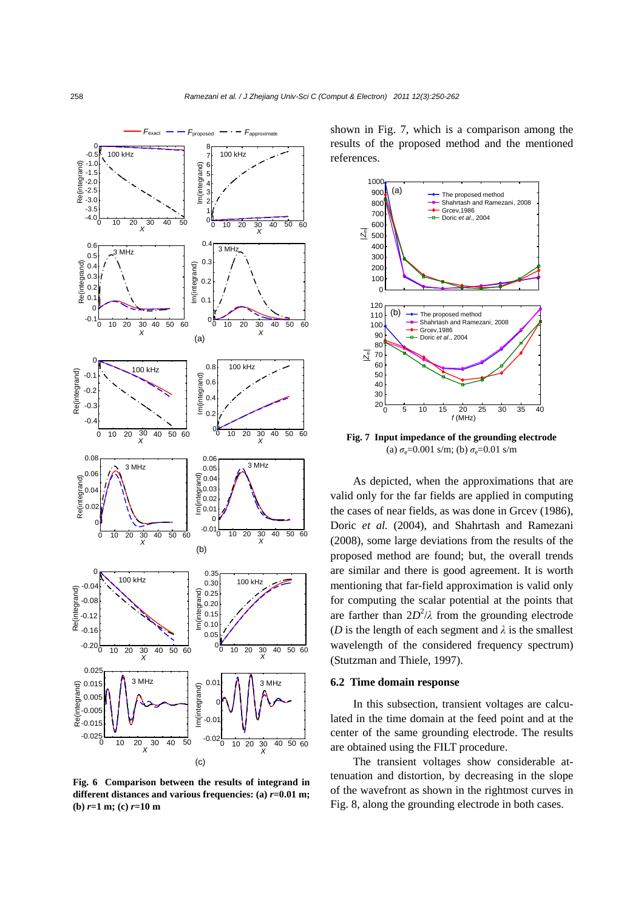

**Fig. 6 Comparison between the results of integrand in different distances and various frequencies: (a)** *r***=0.01 m; (b)** *r***=1 m; (c)** *r***=10 m** 

shown in Fig. 7, which is a comparison among the results of the proposed method and the mentioned references.



**Fig. 7 Input impedance of the grounding electrode** (a)  $\sigma_{\rm e}$ =0.001 s/m; (b)  $\sigma_{\rm e}$ =0.01 s/m

As depicted, when the approximations that are valid only for the far fields are applied in computing the cases of near fields, as was done in Grcev (1986), Doric *et al.* (2004), and Shahrtash and Ramezani (2008), some large deviations from the results of the proposed method are found; but, the overall trends are similar and there is good agreement. It is worth mentioning that far-field approximation is valid only for computing the scalar potential at the points that are farther than  $2D^2/\lambda$  from the grounding electrode (*D* is the length of each segment and  $\lambda$  is the smallest wavelength of the considered frequency spectrum) (Stutzman and Thiele, 1997).

## **6.2 Time domain response**

In this subsection, transient voltages are calculated in the time domain at the feed point and at the center of the same grounding electrode. The results are obtained using the FILT procedure.

The transient voltages show considerable attenuation and distortion, by decreasing in the slope of the wavefront as shown in the rightmost curves in Fig. 8, along the grounding electrode in both cases.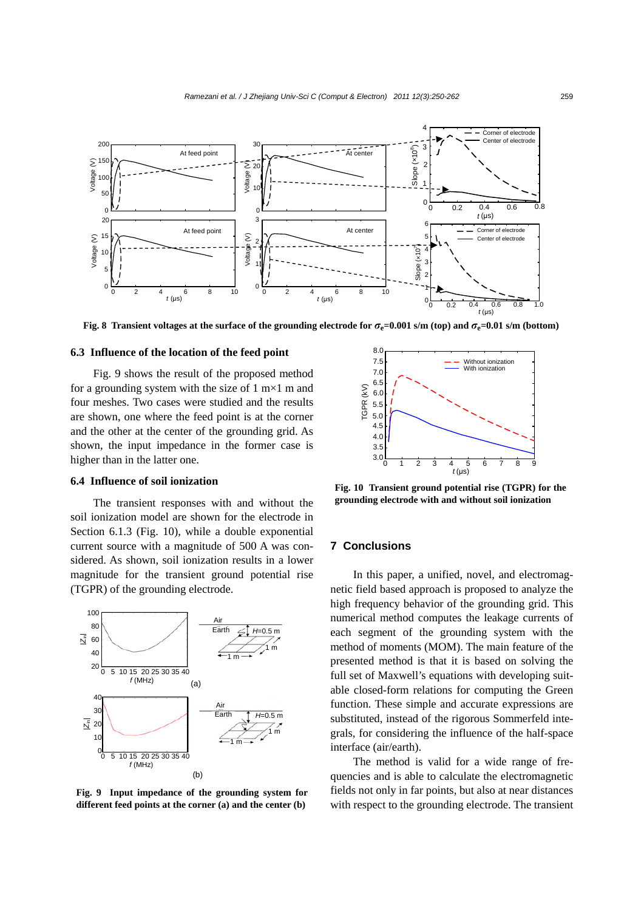

**Fig. 8 Transient voltages at the surface of the grounding electrode for**  $\sigma_e$ **=0.001 s/m (top) and**  $\sigma_e$ **=0.01 s/m (bottom)** 

# **6.3 Influence of the location of the feed point**

Fig. 9 shows the result of the proposed method for a grounding system with the size of  $1 \text{ m} \times 1 \text{ m}$  and four meshes. Two cases were studied and the results are shown, one where the feed point is at the corner and the other at the center of the grounding grid. As shown, the input impedance in the former case is higher than in the latter one.

# **6.4 Influence of soil ionization**

The transient responses with and without the soil ionization model are shown for the electrode in Section 6.1.3 (Fig. 10), while a double exponential current source with a magnitude of 500 A was considered. As shown, soil ionization results in a lower magnitude for the transient ground potential rise (TGPR) of the grounding electrode.



**Fig. 9 Input impedance of the grounding system for different feed points at the corner (a) and the center (b)**



**Fig. 10 Transient ground potential rise (TGPR) for the grounding electrode with and without soil ionization** 

# **7 Conclusions**

In this paper, a unified, novel, and electromagnetic field based approach is proposed to analyze the high frequency behavior of the grounding grid. This numerical method computes the leakage currents of each segment of the grounding system with the method of moments (MOM). The main feature of the presented method is that it is based on solving the full set of Maxwell's equations with developing suitable closed-form relations for computing the Green function. These simple and accurate expressions are substituted, instead of the rigorous Sommerfeld integrals, for considering the influence of the half-space interface (air/earth).

The method is valid for a wide range of frequencies and is able to calculate the electromagnetic fields not only in far points, but also at near distances with respect to the grounding electrode. The transient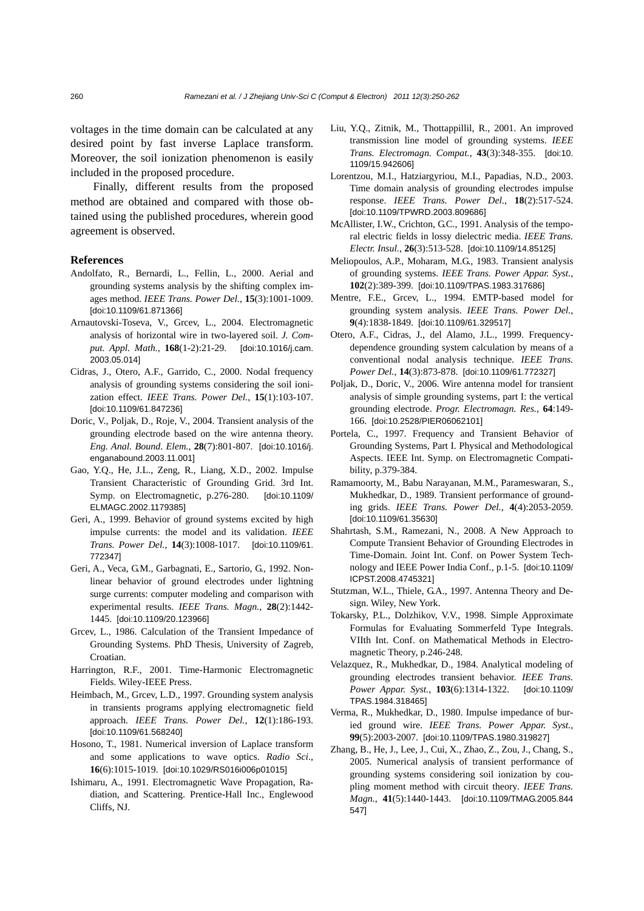voltages in the time domain can be calculated at any desired point by fast inverse Laplace transform. Moreover, the soil ionization phenomenon is easily included in the proposed procedure.

Finally, different results from the proposed method are obtained and compared with those obtained using the published procedures, wherein good agreement is observed.

#### **References**

- Andolfato, R., Bernardi, L., Fellin, L., 2000. Aerial and grounding systems analysis by the shifting complex images method. *IEEE Trans. Power Del.*, **15**(3):1001-1009. [doi:10.1109/61.871366]
- Arnautovski-Toseva, V., Grcev, L., 2004. Electromagnetic analysis of horizontal wire in two-layered soil. *J. Comput. Appl. Math.*, **168**(1-2):21-29. [doi:10.1016/j.cam. 2003.05.014]
- Cidras, J., Otero, A.F., Garrido, C., 2000. Nodal frequency analysis of grounding systems considering the soil ionization effect. *IEEE Trans. Power Del.*, **15**(1):103-107. [doi:10.1109/61.847236]
- Doric, V., Poljak, D., Roje, V., 2004. Transient analysis of the grounding electrode based on the wire antenna theory. *Eng. Anal. Bound. Elem.*, **28**(7):801-807. [doi:10.1016/j. enganabound.2003.11.001]
- Gao, Y.Q., He, J.L., Zeng, R., Liang, X.D., 2002. Impulse Transient Characteristic of Grounding Grid. 3rd Int. Symp. on Electromagnetic, p.276-280. [doi:10.1109/ ELMAGC.2002.1179385]
- Geri, A., 1999. Behavior of ground systems excited by high impulse currents: the model and its validation. *IEEE Trans. Power Del.*, **14**(3):1008-1017. [doi:10.1109/61. 772347]
- Geri, A., Veca, G.M., Garbagnati, E., Sartorio, G., 1992. Nonlinear behavior of ground electrodes under lightning surge currents: computer modeling and comparison with experimental results. *IEEE Trans. Magn.*, **28**(2):1442- 1445. [doi:10.1109/20.123966]
- Grcev, L., 1986. Calculation of the Transient Impedance of Grounding Systems. PhD Thesis, University of Zagreb, Croatian.
- Harrington, R.F., 2001. Time-Harmonic Electromagnetic Fields. Wiley-IEEE Press.
- Heimbach, M., Grcev, L.D., 1997. Grounding system analysis in transients programs applying electromagnetic field approach. *IEEE Trans. Power Del.*, **12**(1):186-193. [doi:10.1109/61.568240]
- Hosono, T., 1981. Numerical inversion of Laplace transform and some applications to wave optics. *Radio Sci*., **16**(6):1015-1019. [doi:10.1029/RS016i006p01015]
- Ishimaru, A., 1991. Electromagnetic Wave Propagation, Radiation, and Scattering. Prentice-Hall Inc., Englewood Cliffs, NJ.
- Liu, Y.Q., Zitnik, M., Thottappillil, R., 2001. An improved transmission line model of grounding systems. *IEEE Trans. Electromagn. Compat.*, **43**(3):348-355. [doi:10. 1109/15.942606]
- Lorentzou, M.I., Hatziargyriou, M.I., Papadias, N.D., 2003. Time domain analysis of grounding electrodes impulse response. *IEEE Trans. Power Del.*, **18**(2):517-524. [doi:10.1109/TPWRD.2003.809686]
- McAllister, I.W., Crichton, G.C., 1991. Analysis of the temporal electric fields in lossy dielectric media. *IEEE Trans. Electr. Insul.*, **26**(3):513-528. [doi:10.1109/14.85125]
- Meliopoulos, A.P., Moharam, M.G., 1983. Transient analysis of grounding systems. *IEEE Trans. Power Appar. Syst.*, **102**(2):389-399. [doi:10.1109/TPAS.1983.317686]
- Mentre, F.E., Grcev, L., 1994. EMTP-based model for grounding system analysis. *IEEE Trans. Power Del.*, **9**(4):1838-1849. [doi:10.1109/61.329517]
- Otero, A.F., Cidras, J., del Alamo, J.L., 1999. Frequencydependence grounding system calculation by means of a conventional nodal analysis technique. *IEEE Trans. Power Del.*, **14**(3):873-878. [doi:10.1109/61.772327]
- Poljak, D., Doric, V., 2006. Wire antenna model for transient analysis of simple grounding systems, part I: the vertical grounding electrode. *Progr. Electromagn. Res.*, **64**:149- 166. [doi:10.2528/PIER06062101]
- Portela, C., 1997. Frequency and Transient Behavior of Grounding Systems, Part I. Physical and Methodological Aspects. IEEE Int. Symp. on Electromagnetic Compatibility, p.379-384.
- Ramamoorty, M., Babu Narayanan, M.M., Parameswaran, S., Mukhedkar, D., 1989. Transient performance of grounding grids. *IEEE Trans. Power Del.*, **4**(4):2053-2059. [doi:10.1109/61.35630]
- Shahrtash, S.M., Ramezani, N., 2008. A New Approach to Compute Transient Behavior of Grounding Electrodes in Time-Domain. Joint Int. Conf. on Power System Technology and IEEE Power India Conf., p.1-5. [doi:10.1109/ ICPST.2008.4745321]
- Stutzman, W.L., Thiele, G.A., 1997. Antenna Theory and Design. Wiley, New York.
- Tokarsky, P.L., Dolzhikov, V.V., 1998. Simple Approximate Formulas for Evaluating Sommerfeld Type Integrals. VIIth Int. Conf. on Mathematical Methods in Electromagnetic Theory, p.246-248.
- Velazquez, R., Mukhedkar, D., 1984. Analytical modeling of grounding electrodes transient behavior. *IEEE Trans. Power Appar. Syst.*, **103**(6):1314-1322. [doi:10.1109/ TPAS.1984.318465]
- Verma, R., Mukhedkar, D., 1980. Impulse impedance of buried ground wire. *IEEE Trans. Power Appar. Syst.*, **99**(5):2003-2007. [doi:10.1109/TPAS.1980.319827]
- Zhang, B., He, J., Lee, J., Cui, X., Zhao, Z., Zou, J., Chang, S., 2005. Numerical analysis of transient performance of grounding systems considering soil ionization by coupling moment method with circuit theory*. IEEE Trans. Magn.*, **41**(5):1440-1443. [doi:10.1109/TMAG.2005.844 547]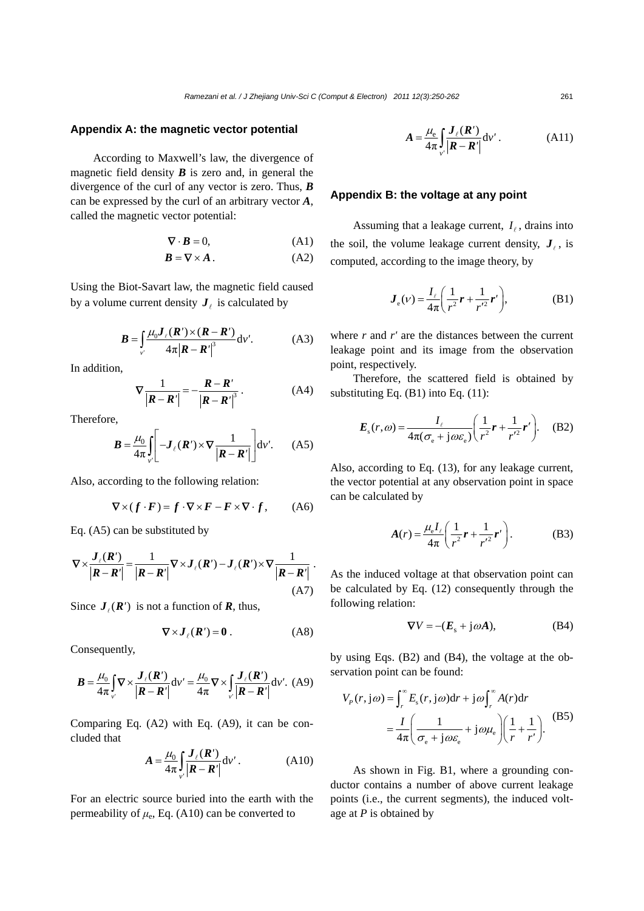# **Appendix A: the magnetic vector potential**

According to Maxwell's law, the divergence of magnetic field density  $\bf{B}$  is zero and, in general the divergence of the curl of any vector is zero. Thus, *B* can be expressed by the curl of an arbitrary vector *A*, called the magnetic vector potential:

$$
\nabla \cdot \mathbf{B} = 0,\tag{A1}
$$

$$
B = \nabla \times A \tag{A2}
$$

Using the Biot-Savart law, the magnetic field caused by a volume current density  $J_\ell$  is calculated by

$$
\boldsymbol{B} = \int_{v'} \frac{\mu_0 \boldsymbol{J}_{\ell}(\boldsymbol{R}') \times (\boldsymbol{R} - \boldsymbol{R}')}{4\pi |\boldsymbol{R} - \boldsymbol{R}'|^{3}} dv'. \tag{A3}
$$

In addition,

$$
\nabla \frac{1}{|\boldsymbol{R} - \boldsymbol{R}'|} = -\frac{\boldsymbol{R} - \boldsymbol{R}'}{|\boldsymbol{R} - \boldsymbol{R}'|^3}.
$$
 (A4)

Therefore,

$$
\boldsymbol{B} = \frac{\mu_0}{4\pi} \int_{\nu} \left[ -\boldsymbol{J}_{\ell}(\boldsymbol{R}') \times \nabla \frac{1}{|\boldsymbol{R} - \boldsymbol{R}'|} \right] \mathrm{d}\nu'. \qquad (A5)
$$

Also, according to the following relation:

$$
\nabla \times (f \cdot F) = f \cdot \nabla \times F - F \times \nabla \cdot f, \qquad (A6)
$$

Eq. (A5) can be substituted by

$$
\nabla \times \frac{\boldsymbol{J}_{\ell}(\boldsymbol{R}')}{|\boldsymbol{R} - \boldsymbol{R}'|} = \frac{1}{|\boldsymbol{R} - \boldsymbol{R}'|} \nabla \times \boldsymbol{J}_{\ell}(\boldsymbol{R}') - \boldsymbol{J}_{\ell}(\boldsymbol{R}') \times \nabla \frac{1}{|\boldsymbol{R} - \boldsymbol{R}'|}.
$$
\n(A7)

Since  $J_{\ell}(R')$  is not a function of **R**, thus,

$$
\nabla \times \boldsymbol{J}_{\ell}(\boldsymbol{R}') = \boldsymbol{0} \,. \tag{A8}
$$

Consequently,

$$
\boldsymbol{B} = \frac{\mu_0}{4\pi} \int_{v'} \nabla \times \frac{\boldsymbol{J}_{\ell}(\boldsymbol{R}')}{|\boldsymbol{R} - \boldsymbol{R}'|} dv' = \frac{\mu_0}{4\pi} \nabla \times \int_{v'} \frac{\boldsymbol{J}_{\ell}(\boldsymbol{R}')}{|\boldsymbol{R} - \boldsymbol{R}'|} dv'. \tag{A9}
$$

Comparing Eq. (A2) with Eq. (A9), it can be concluded that

$$
A = \frac{\mu_0}{4\pi} \int_{\nu'} \frac{\boldsymbol{J}_{\ell}(\boldsymbol{R}')}{|\boldsymbol{R} - \boldsymbol{R}'|} \mathrm{d}\nu' \,. \tag{A10}
$$

For an electric source buried into the earth with the permeability of  $\mu_e$ , Eq. (A10) can be converted to

$$
A = \frac{\mu_{\rm e}}{4\pi} \int_{v'} \frac{\boldsymbol{J}_{\ell}(\boldsymbol{R}')}{|\boldsymbol{R} - \boldsymbol{R}'|} \mathrm{d}v' \,. \tag{A11}
$$

# **Appendix B: the voltage at any point**

Assuming that a leakage current,  $I_\ell$ , drains into the soil, the volume leakage current density,  $J_{\ell}$ , is computed, according to the image theory, by

$$
J_{e}(v) = \frac{I_{\ell}}{4\pi} \left( \frac{1}{r^{2}} r + \frac{1}{r'^{2}} r' \right),
$$
 (B1)

where *r* and *r'* are the distances between the current leakage point and its image from the observation point, respectively.

Therefore, the scattered field is obtained by substituting Eq. (B1) into Eq. (11):

$$
E_s(r,\omega) = \frac{I_{\ell}}{4\pi(\sigma_{\rm e} + j\omega \varepsilon_{\rm e})} \left(\frac{1}{r^2}r + \frac{1}{r'^2}r'\right). \quad (B2)
$$

Also, according to Eq. (13), for any leakage current, the vector potential at any observation point in space can be calculated by

$$
A(r) = \frac{\mu_{\rm e} I_{\ell}}{4\pi} \left( \frac{1}{r^2} r + \frac{1}{r'^2} r' \right). \tag{B3}
$$

As the induced voltage at that observation point can be calculated by Eq. (12) consequently through the following relation:

$$
\nabla V = -(E_s + j\omega A), \tag{B4}
$$

by using Eqs. (B2) and (B4), the voltage at the observation point can be found:

$$
V_p(r, j\omega) = \int_r^{\infty} E_s(r, j\omega) dr + j\omega \int_r^{\infty} A(r) dr
$$
  
=  $\frac{I}{4\pi} \left( \frac{1}{\sigma_e + j\omega \varepsilon_e} + j\omega \mu_e \right) \left( \frac{1}{r} + \frac{1}{r'} \right).$  (B5)

As shown in Fig. B1, where a grounding conductor contains a number of above current leakage points (i.e., the current segments), the induced voltage at *P* is obtained by